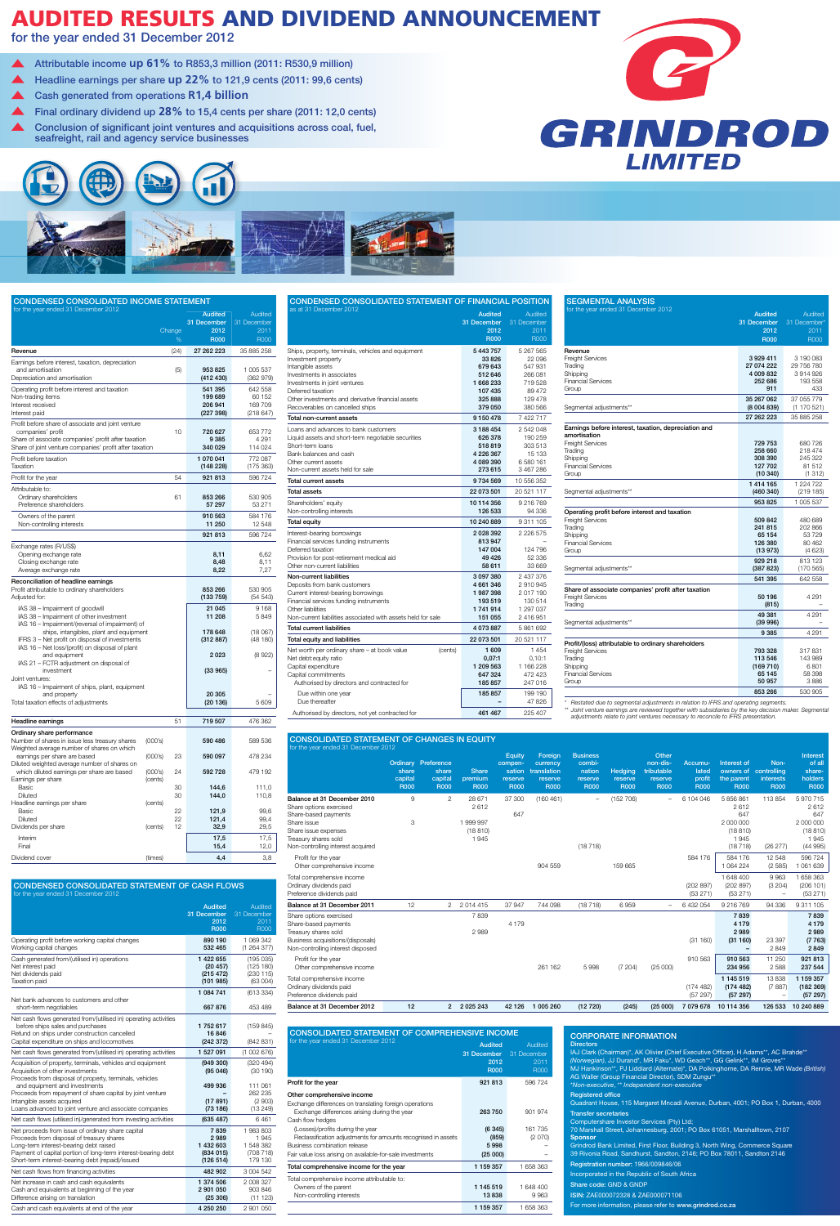# AUDITED RESULTS AND DIVIDEND ANNOUNCEMENT

for the year ended 31 December 2012

| <b>CONDENSED CONSOLIDATED INCOME STATEMENT</b>                                                                                                                                            |             |                                                      |                                               |  |
|-------------------------------------------------------------------------------------------------------------------------------------------------------------------------------------------|-------------|------------------------------------------------------|-----------------------------------------------|--|
| for the year ended 31 December 2012                                                                                                                                                       | Change<br>% | <b>Audited</b><br>31 December<br>2012<br><b>R000</b> | Audited<br>31 December<br>2011<br><b>R000</b> |  |
| Revenue                                                                                                                                                                                   | (24)        | 27 262 223                                           | 35 885 258                                    |  |
| Earnings before interest, taxation, depreciation<br>and amortisation<br>Depreciation and amortisation                                                                                     | (5)         | 953825<br>(412 430)                                  | 1 005 537<br>(362979)                         |  |
| Operating profit before interest and taxation<br>Non-trading items<br>Interest received<br>Interest paid                                                                                  |             | 541 395<br>199 689<br>206 941<br>(227 398)           | 642 558<br>60 152<br>169 709<br>(218647)      |  |
| Profit before share of associate and joint venture<br>companies' profit<br>Share of associate companies' profit after taxation<br>Share of joint venture companies' profit after taxation | 10          | 720 627<br>9 3 8 5<br>340 029                        | 653 772<br>4 2 9 1<br>114 024                 |  |
| Profit before taxation<br>Taxation                                                                                                                                                        |             | 1 070 041<br>(148228)                                | 772 087<br>(175 363)                          |  |
| Profit for the year                                                                                                                                                                       | 54          | 921 813                                              | 596724                                        |  |
| Attributable to:<br>Ordinary shareholders<br>Preference shareholders                                                                                                                      | 61          | 853 266<br>57 297                                    | 530 905<br>53 271                             |  |
| Owners of the parent<br>Non-controlling interests                                                                                                                                         |             | 910 563<br>11 250                                    | 584 176<br>12 548                             |  |
|                                                                                                                                                                                           |             | 921 813                                              | 596 724                                       |  |
| Exchange rates (R/US\$)<br>Opening exchange rate<br>Closing exchange rate<br>Average exchange rate                                                                                        |             | 8,11<br>8,48<br>8,22                                 | 6,62<br>8,11<br>7,27                          |  |
| Reconciliation of headline earnings<br>Profit attributable to ordinary shareholders<br>Adjusted for:                                                                                      |             | 853 266<br>(133759)                                  | 530 905<br>(54543)                            |  |
| IAS 38 - Impairment of goodwill<br>IAS 38 - Impairment of other investment<br>IAS 16 – Impairment/(reversal of impairment) of                                                             |             | 21 045<br>11 208                                     | 9 1 6 8<br>5849                               |  |
| ships, intangibles, plant and equipment<br>IFRS 3 – Net profit on disposal of investments<br>IAS 16 – Net loss/(profit) on disposal of plant                                              |             | 178 648<br>(312887)                                  | (18067)<br>(48180)                            |  |
| and equipment<br>IAS 21 - FCTR adjustment on disposal of                                                                                                                                  |             | 2023                                                 | (8922)                                        |  |
| investment<br>Joint ventures:<br>IAS 16 - Impairment of ships, plant, equipment<br>and property                                                                                           |             | (33965)<br>20 305                                    |                                               |  |
| Total taxation effects of adjustments                                                                                                                                                     |             | (20136)                                              | 5 609                                         |  |

| Headline earnings                              |         | 51 | 719 507 | 476 362 |
|------------------------------------------------|---------|----|---------|---------|
| Ordinary share performance                     |         |    |         |         |
| Number of shares in issue less treasury shares | (000's) |    | 590 486 | 589 536 |
| Weighted average number of shares on which     |         |    |         |         |
| earnings per share are based                   | (000's) | 23 | 590 097 | 478 234 |
| Diluted weighted average number of shares on   |         |    |         |         |
| which diluted earnings per share are based     | (000's) | 24 | 592728  | 479 192 |
| Earnings per share                             | (cents) |    |         |         |
| Basic                                          |         | 30 | 144,6   | 111,0   |
| Diluted                                        |         | 30 | 144,0   | 110,8   |
| Headline earnings per share                    | (cents) |    |         |         |
| Basic                                          |         | 22 | 121,9   | 99,6    |
| Diluted                                        |         | 22 | 121,4   | 99,4    |
| Dividends per share                            | (cents) | 12 | 32,9    | 29,5    |
| Interim                                        |         |    | 17,5    | 17,5    |
| Final                                          |         |    | 15,4    | 12,0    |
| Dividend cover                                 | (times) |    | 4,4     | 3,8     |

| CONDENSED CONSOLIDATED STATEMENT OF FINANCIAL POSITION                                                                                                                                                                                                                                                |                                                                                                      |                                                                                                |
|-------------------------------------------------------------------------------------------------------------------------------------------------------------------------------------------------------------------------------------------------------------------------------------------------------|------------------------------------------------------------------------------------------------------|------------------------------------------------------------------------------------------------|
| as at 31 December 2012                                                                                                                                                                                                                                                                                | <b>Audited</b><br>31 December<br>2012<br><b>R000</b>                                                 | Audited<br>31 December<br>2011<br><b>R000</b>                                                  |
| Ships, property, terminals, vehicles and equipment<br>Investment property<br>Intangible assets<br>Investments in associates<br>Investments in joint ventures<br>Deferred taxation<br>Other investments and derivative financial assets<br>Recoverables on cancelled ships<br>Total non-current assets | 5 443 757<br>33 826<br>679 643<br>512 646<br>1 668 233<br>107 435<br>325 888<br>379 050<br>9 150 478 | 5 267 565<br>22 096<br>547 931<br>266 081<br>719528<br>89 472<br>129 478<br>380 566<br>7422717 |
|                                                                                                                                                                                                                                                                                                       |                                                                                                      |                                                                                                |
| Loans and advances to bank customers<br>Liquid assets and short-term negotiable securities<br>Short-term Ioans<br>Bank balances and cash<br>Other current assets<br>Non-current assets held for sale                                                                                                  | 3 188 454<br>626 378<br>518819<br>4 226 367<br>4 089 390<br>273 615                                  | 2 542 048<br>190 259<br>303 513<br>15 133<br>6 580 161<br>3 467 286                            |
| Total current assets                                                                                                                                                                                                                                                                                  | 9 734 569                                                                                            | 10 556 352                                                                                     |
| <b>Total assets</b>                                                                                                                                                                                                                                                                                   | 22 073 501                                                                                           | 20 521 117                                                                                     |
| Shareholders' equity<br>Non-controlling interests                                                                                                                                                                                                                                                     | 10 114 356<br>126 533                                                                                | 9 216 769<br>94 336                                                                            |
| Total equity                                                                                                                                                                                                                                                                                          | 10 240 889                                                                                           | 9 311 105                                                                                      |
| Interest-bearing borrowings<br>Financial services funding instruments<br>Deferred taxation<br>Provision for post-retirement medical aid<br>Other non-current liabilities                                                                                                                              | 2 028 392<br>813947<br>147 004<br>49 426<br>58 611                                                   | 2 2 2 5 7 5<br>124 796<br>52 336<br>33 669                                                     |
| Non-current liabilities                                                                                                                                                                                                                                                                               | 3 097 380                                                                                            | 2 437 376                                                                                      |
| Deposits from bank customers<br>Current interest-bearing borrowings<br>Financial services funding instruments<br>Other liabilities<br>Non-current liabilities associated with assets held for sale                                                                                                    | 4 661 346<br>1987398<br>193 519<br>1741914<br>151 055                                                | 2910945<br>2017190<br>130 514<br>1 297 037<br>2 416 951                                        |
| Total current liabilities                                                                                                                                                                                                                                                                             | 4 073 887                                                                                            | 5 861 692                                                                                      |
| Total equity and liabilities                                                                                                                                                                                                                                                                          | 22 073 501                                                                                           | 20 521 117                                                                                     |
| Net worth per ordinary share - at book value<br>(cents)<br>Net debt: equity ratio<br>Capital expenditure<br>Capital commitments<br>Authorised by directors and contracted for                                                                                                                         | 1 609<br>0,07:1<br>1 209 563<br>647 324<br>185 857                                                   | 1454<br>0,10:1<br>1 166 228<br>472423<br>247 016                                               |
| Due within one year<br>Due thereafter                                                                                                                                                                                                                                                                 | 185857                                                                                               | 199 190<br>47 826                                                                              |
| Authorised by directors, not yet contracted for                                                                                                                                                                                                                                                       | 461 467                                                                                              | 225 407                                                                                        |

# CONDENSED consolidateD STATEMENT OF CASH FLOWS or the year ended 31 December 2012



*\* Restated due to segmental adjustments in relation to IFRS and operating segments. \*\* Joint venture earnings are reviewed together with subsidiaries by the key decision maker. Segmental adjustments relate to joint ventures necessary to reconcile to IFRS presentation.*



| <b>CONSOLIDATED STATEMENT OF CHANGES IN EQUITY</b>                                                                                                                                 |                                 |                                                               |                                              |                                                              |                                                              |                                                               |                                          |                                                           |                                           |                                                                     |                                                        |                                                                     |
|------------------------------------------------------------------------------------------------------------------------------------------------------------------------------------|---------------------------------|---------------------------------------------------------------|----------------------------------------------|--------------------------------------------------------------|--------------------------------------------------------------|---------------------------------------------------------------|------------------------------------------|-----------------------------------------------------------|-------------------------------------------|---------------------------------------------------------------------|--------------------------------------------------------|---------------------------------------------------------------------|
| for the year ended 31 December 2012                                                                                                                                                | share<br>capital<br><b>R000</b> | <b>Ordinary Preference</b><br>share<br>capital<br><b>R000</b> | <b>Share</b><br>premium<br><b>R000</b>       | <b>Equity</b><br>compen-<br>sation<br>reserve<br><b>R000</b> | Foreign<br>currency<br>translation<br>reserve<br><b>R000</b> | <b>Business</b><br>combi-<br>nation<br>reserve<br><b>R000</b> | <b>Hedging</b><br>reserve<br><b>R000</b> | Other<br>non-dis-<br>tributable<br>reserve<br><b>R000</b> | Accumu-<br>lated<br>profit<br><b>R000</b> | Interest of<br>owners of<br>the parent<br><b>R000</b>               | Non-<br>controlling<br><b>interests</b><br><b>R000</b> | Interest<br>of all<br>share-<br>holders<br><b>R000</b>              |
| Balance at 31 December 2010<br>Share options exercised<br>Share-based payments<br>Share issue<br>Share issue expenses<br>Treasury shares sold<br>Non-controlling interest acquired | 9<br>3                          | $\overline{2}$                                                | 28 671<br>2612<br>1999997<br>(18810)<br>1945 | 37 300<br>647                                                | (160 461)                                                    | $\overline{\phantom{m}}$<br>(18718)                           | (152 706)                                | $\overline{\phantom{m}}$                                  | 6 104 046                                 | 5 856 861<br>2612<br>647<br>2 000 000<br>(18810)<br>1945<br>(18718) | 113854<br>(26 277)                                     | 5 970 715<br>2612<br>647<br>2 000 000<br>(18810)<br>1945<br>(44995) |
| Profit for the year<br>Other comprehensive income                                                                                                                                  |                                 |                                                               |                                              |                                                              | 904 559                                                      |                                                               | 159 665                                  |                                                           | 584 176                                   | 584 176<br>1 0 6 4 2 2 4                                            | 12 548<br>(2585)                                       | 596 724<br>1 061 639                                                |
| Total comprehensive income<br>Ordinary dividends paid<br>Preference dividends paid                                                                                                 |                                 |                                                               |                                              |                                                              |                                                              |                                                               |                                          |                                                           | (202897)<br>(53 271)                      | 1 648 400<br>(202897)<br>(53 271)                                   | 9963<br>(3 204)<br>$\overline{\phantom{m}}$            | 1 658 363<br>(206101)<br>(53 271)                                   |
| Balance at 31 December 2011                                                                                                                                                        | 12                              | 2                                                             | 2014415                                      | 37 947                                                       | 744 098                                                      | (18718)                                                       | 6959                                     | $\overline{\phantom{m}}$                                  | 6 432 054                                 | 9 216 769                                                           | 94 336                                                 | 9 3 1 1 1 0 5                                                       |
| Share options exercised<br>Share-based payments<br>Treasury shares sold<br>Business acquisitions/(disposals)<br>Non-controlling interest disposed                                  |                                 |                                                               | 7839<br>2989                                 | 4 1 7 9                                                      |                                                              |                                                               |                                          |                                                           | (31160)                                   | 7839<br>4 1 7 9<br>2989<br>(31160)<br>$\qquad \qquad =$             | 23 397<br>2849                                         | 7839<br>4 1 7 9<br>2989<br>(7763)<br>2849                           |
| Profit for the year<br>Other comprehensive income                                                                                                                                  |                                 |                                                               |                                              |                                                              | 261 162                                                      | 5998                                                          | (7204)                                   | (25000)                                                   | 910 563                                   | 910 563<br>234 956                                                  | 11 250<br>2588                                         | 921 813<br>237 544                                                  |
| Total comprehensive income<br>Ordinary dividends paid<br>Preference dividends paid                                                                                                 |                                 |                                                               |                                              |                                                              |                                                              |                                                               |                                          |                                                           | (174482)<br>(57297)                       | 1 145 519<br>(174482)<br>(57297)                                    | 13838<br>(7887)<br>$\overline{\phantom{m}}$            | 1 159 357<br>(182 369)<br>(57297)                                   |
| Balance at 31 December 2012                                                                                                                                                        | 12                              | $\overline{2}$                                                | 2 0 2 5 2 4 3                                | 42 1 26                                                      | 1 005 260                                                    | (12720)                                                       | (245)                                    | (25000)                                                   | 7 079 678                                 | 10 114 356                                                          | 126 533                                                | 10 240 889                                                          |

| <b>CONSOLIDATED STATEMENT OF COMPREHENSIVE INCOME</b>                                                                                                                                                                                                                                                                                                      |                                                      |                                               |  |  |
|------------------------------------------------------------------------------------------------------------------------------------------------------------------------------------------------------------------------------------------------------------------------------------------------------------------------------------------------------------|------------------------------------------------------|-----------------------------------------------|--|--|
| for the year ended 31 December 2012                                                                                                                                                                                                                                                                                                                        | <b>Audited</b><br>31 December<br>2012<br><b>R000</b> | Audited<br>31 December<br>2011<br><b>R000</b> |  |  |
| Profit for the year                                                                                                                                                                                                                                                                                                                                        | 921 813                                              | 596724                                        |  |  |
| Other comprehensive income<br>Exchange differences on translating foreign operations<br>Exchange differences arising during the year<br>Cash flow hedges<br>(Losses)/profits during the year<br>Reclassification adjustments for amounts recognised in assets<br>Business combination release<br>Fair value loss arising on available-for-sale investments | 263 750<br>(6345)<br>(859)<br>5998<br>(25000)        | 901 974<br>161 735<br>(2070)                  |  |  |
| Total comprehensive income for the year                                                                                                                                                                                                                                                                                                                    | 1 159 357                                            | 1 658 363                                     |  |  |
| Total comprehensive income attributable to:<br>Owners of the parent<br>Non-controlling interests                                                                                                                                                                                                                                                           | 1 145 519<br>13838<br>1 159 357                      | 1 648 400<br>9963<br>1 658 363                |  |  |

|                                                                                                                                                                                                                                                                                                                                                  | <b>Audited</b><br>31 December<br>2012<br><b>R000</b>  | Audited<br>31 December<br>2011<br><b>R000</b>                   |
|--------------------------------------------------------------------------------------------------------------------------------------------------------------------------------------------------------------------------------------------------------------------------------------------------------------------------------------------------|-------------------------------------------------------|-----------------------------------------------------------------|
| Operating profit before working capital changes<br>Working capital changes                                                                                                                                                                                                                                                                       | 890 190<br>532 465                                    | 1 069 342<br>(1264377)                                          |
| Cash generated from/(utilised in) operations<br>Net interest paid<br>Net dividends paid<br><b>Taxation paid</b>                                                                                                                                                                                                                                  | 1422655<br>(20 457)<br>(215 472)<br>(101985)          | (195035)<br>(125 180)<br>(230 115)<br>(63004)                   |
| Net bank advances to customers and other<br>short-term negotiables                                                                                                                                                                                                                                                                               | 1 084 741<br>667876                                   | (613334)<br>453 489                                             |
| Net cash flows generated from/(utilised in) operating activities<br>before ships sales and purchases<br>Refund on ships under construction cancelled<br>Capital expenditure on ships and locomotives                                                                                                                                             | 1752617<br>16846<br>(242 372)                         | (159845)<br>(842 831)                                           |
| Net cash flows generated from/(utilised in) operating activities                                                                                                                                                                                                                                                                                 | 1 527 091                                             | (1002676)                                                       |
| Acquisition of property, terminals, vehicles and equipment<br>Acquisition of other investments<br>Proceeds from disposal of property, terminals, vehicles<br>and equipment and investments<br>Proceeds from repayment of share capital by joint venture<br>Intangible assets acquired<br>Loans advanced to joint venture and associate companies | (949 300)<br>(95046)<br>499 936<br>(17891)<br>(73186) | (320 494)<br>(30190)<br>111 061<br>262 235<br>(2903)<br>(13249) |
| Net cash flows (utilised in)/generated from investing activities                                                                                                                                                                                                                                                                                 | (635 487)                                             | 6461                                                            |
| Net proceeds from issue of ordinary share capital<br>Proceeds from disposal of treasury shares<br>Long-term interest-bearing debt raised<br>Payment of capital portion of long-term interest-bearing debt<br>Short-term interest-bearing debt (repaid)/issued                                                                                    | 7839<br>2989<br>1 432 603<br>(834015)<br>(126 514)    | 1983803<br>1945<br>1548382<br>(708718)<br>179 130               |
| Net cash flows from financing activities                                                                                                                                                                                                                                                                                                         | 482 902                                               | 3 004 542                                                       |
| Net increase in cash and cash equivalents<br>Cash and equivalents at beginning of the year<br>Difference arising on translation                                                                                                                                                                                                                  | 1 374 506<br>2 901 050<br>(25 306)                    | 2 008 327<br>903846<br>(11123)                                  |
| Cash and cash equivalents at end of the year                                                                                                                                                                                                                                                                                                     | 4 250 250                                             | 2 901 050                                                       |

# CORPORATE INFORMATION

| <b>Directors</b>                                                                                                                                               |
|----------------------------------------------------------------------------------------------------------------------------------------------------------------|
| IAJ Clark (Chairman)*, AK Olivier (Chief Executive Officer), H Adams**, AC Brahde**<br>(Norwegian), JJ Durand*, MR Faku*, WD Geach**, GG Gelink**, IM Groves** |
| MJ Hankinson**, PJ Liddiard (Alternate)*, DA Polkinghorne, DA Rennie, MR Wade (British)<br>AG Waller (Group Financial Director), SDM Zungu**                   |
| *Non-executive, ** Independent non-executive                                                                                                                   |
| <b>Registered office</b>                                                                                                                                       |
| Quadrant House, 115 Margaret Mncadi Avenue, Durban, 4001; PO Box 1, Durban, 4000                                                                               |
| <b>Transfer secretaries</b>                                                                                                                                    |
| Computershare Investor Services (Pty) Ltd;                                                                                                                     |
| 70 Marshall Street, Johannesburg, 2001; PO Box 61051, Marshalltown, 2107                                                                                       |
| <b>Sponsor</b>                                                                                                                                                 |
| Grindrod Bank Limited, First Floor, Building 3, North Wing, Commerce Square                                                                                    |
| 39 Rivonia Road, Sandhurst, Sandton, 2146; PO Box 78011, Sandton 2146                                                                                          |
| <b>Registration number: 1966/009846/06</b>                                                                                                                     |
| Incorporated in the Republic of South Africa                                                                                                                   |
| Share code: GND & GNDP                                                                                                                                         |
| ISIN: ZAE000072328 & ZAE000071106                                                                                                                              |
| For more information, please refer to www.grindrod.co.za                                                                                                       |
|                                                                                                                                                                |

- Attributable income **up 61%** to R853,3 million (2011: R530,9 million)  $\blacktriangle$
- Headline earnings per share **up 22%** to 121,9 cents (2011: 99,6 cents)  $\blacktriangle$
- Cash generated from operations **R1,4 billion**
- Final ordinary dividend up **28%** to 15,4 cents per share (2011: 12,0 cents)  $\blacktriangle$
- Conclusion of significant joint ventures and acquisitions across coal, fuel, seafreight, rail and agency service businesses